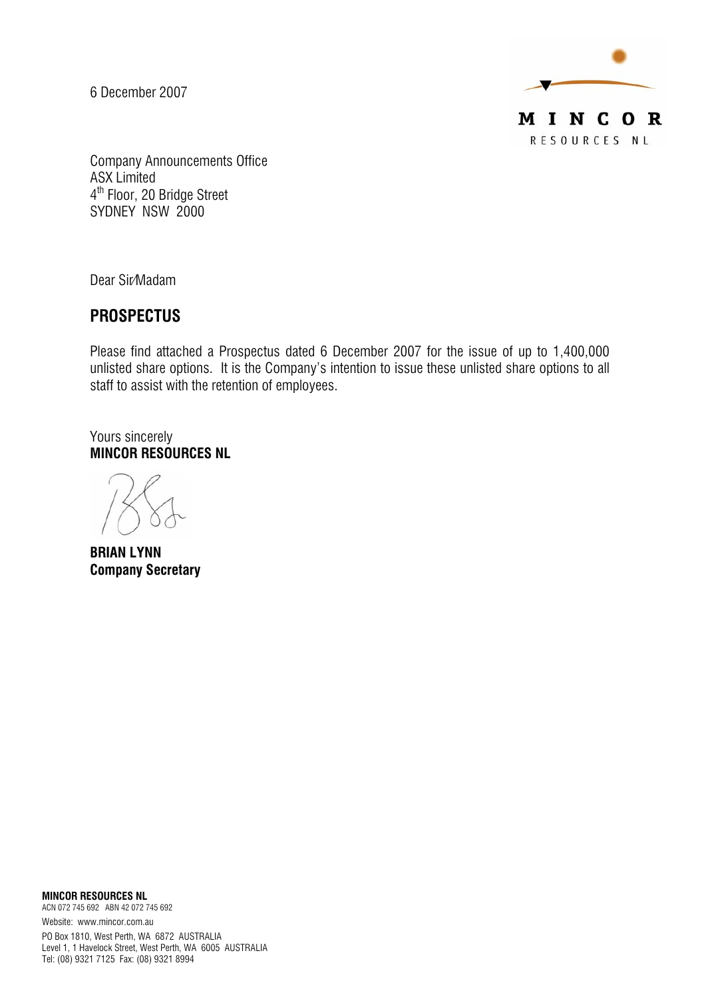6 December 2007



Company Announcements Office ASX Limited 4<sup>th</sup> Floor, 20 Bridge Street SYDNEY NSW 2000

Dear Sir/Madam

## *PROSPECTUS*

Please find attached a Prospectus dated 6 December 2007 for the issue of up to 1,400,000 unlisted share options. It is the Company's intention to issue these unlisted share options to all staff to assist with the retention of employees.

Yours sincerely *MINCOR RESOURCES NL* 

*BRIAN LYNN Company Secretary* 

*MINCOR RESOURCES NL*  ACN 072 745 692 ABN 42 072 745 692 Website: www.mincor.com.au

PO Box 1810, West Perth, WA 6872 AUSTRALIA Level 1, 1 Havelock Street, West Perth, WA 6005 AUSTRALIA Tel: (08) 9321 7125 Fax: (08) 9321 8994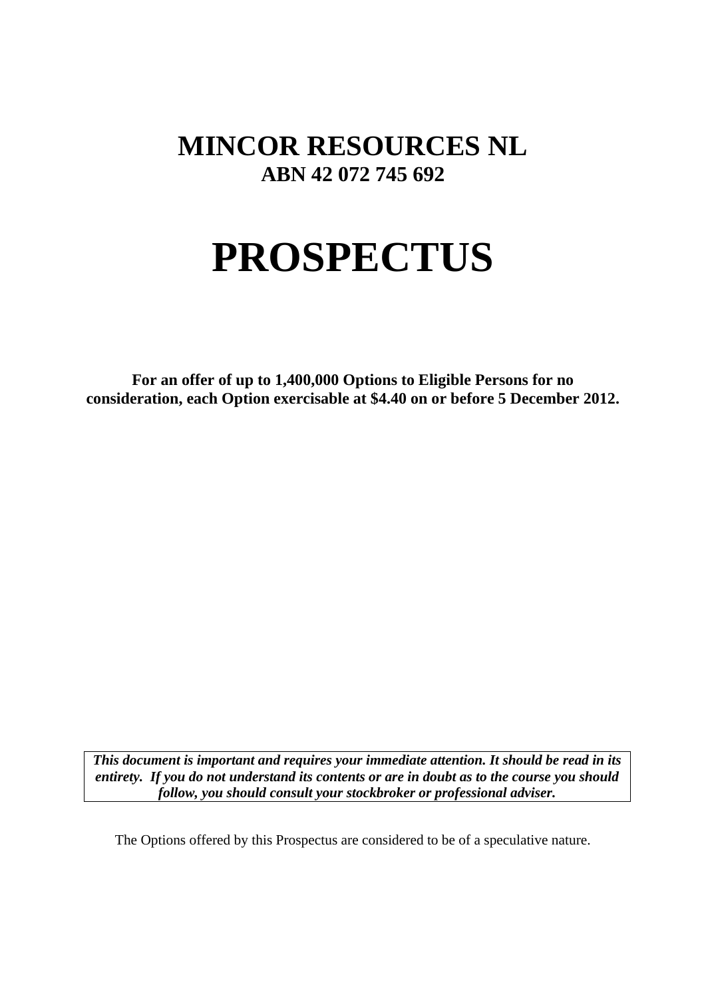# **MINCOR RESOURCES NL ABN 42 072 745 692**

# **PROSPECTUS**

**For an offer of up to 1,400,000 Options to Eligible Persons for no consideration, each Option exercisable at \$4.40 on or before 5 December 2012.** 

*This document is important and requires your immediate attention. It should be read in its entirety. If you do not understand its contents or are in doubt as to the course you should follow, you should consult your stockbroker or professional adviser.* 

The Options offered by this Prospectus are considered to be of a speculative nature.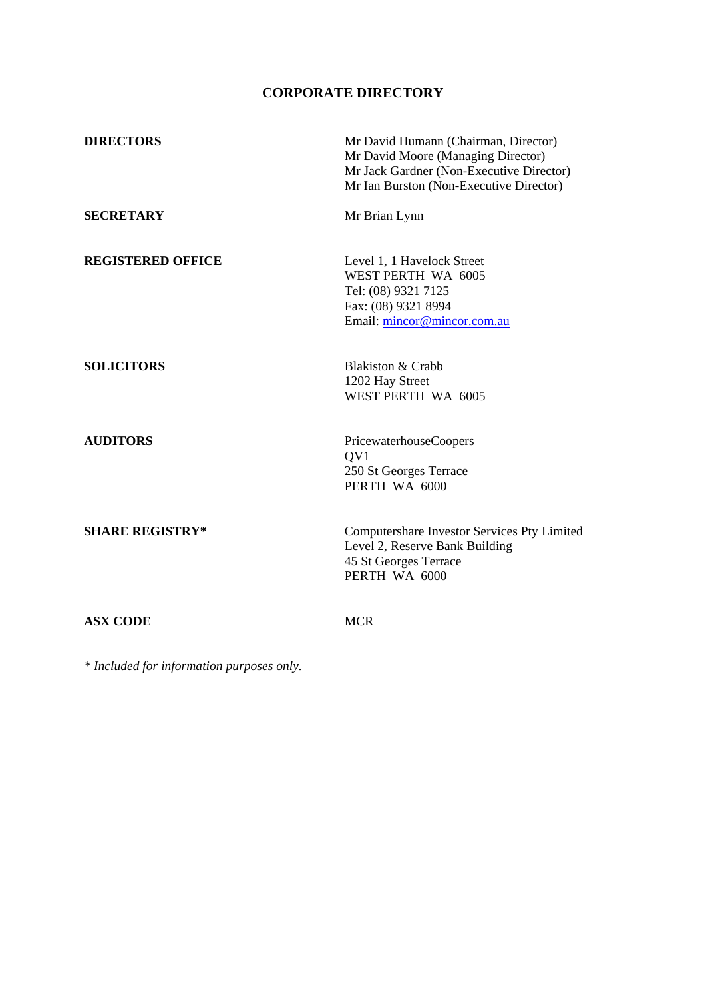### **CORPORATE DIRECTORY**

| <b>DIRECTORS</b>         | Mr David Humann (Chairman, Director)<br>Mr David Moore (Managing Director)<br>Mr Jack Gardner (Non-Executive Director)<br>Mr Ian Burston (Non-Executive Director) |
|--------------------------|-------------------------------------------------------------------------------------------------------------------------------------------------------------------|
| <b>SECRETARY</b>         | Mr Brian Lynn                                                                                                                                                     |
| <b>REGISTERED OFFICE</b> | Level 1, 1 Havelock Street<br>WEST PERTH WA 6005<br>Tel: (08) 9321 7125<br>Fax: (08) 9321 8994<br>Email: mincor@mincor.com.au                                     |
| <b>SOLICITORS</b>        | Blakiston & Crabb<br>1202 Hay Street<br>WEST PERTH WA 6005                                                                                                        |
| <b>AUDITORS</b>          | PricewaterhouseCoopers<br>QV1<br>250 St Georges Terrace<br>PERTH WA 6000                                                                                          |
| <b>SHARE REGISTRY*</b>   | Computershare Investor Services Pty Limited<br>Level 2, Reserve Bank Building<br>45 St Georges Terrace<br>PERTH WA 6000                                           |
| <b>ASX CODE</b>          | <b>MCR</b>                                                                                                                                                        |

*\* Included for information purposes only.*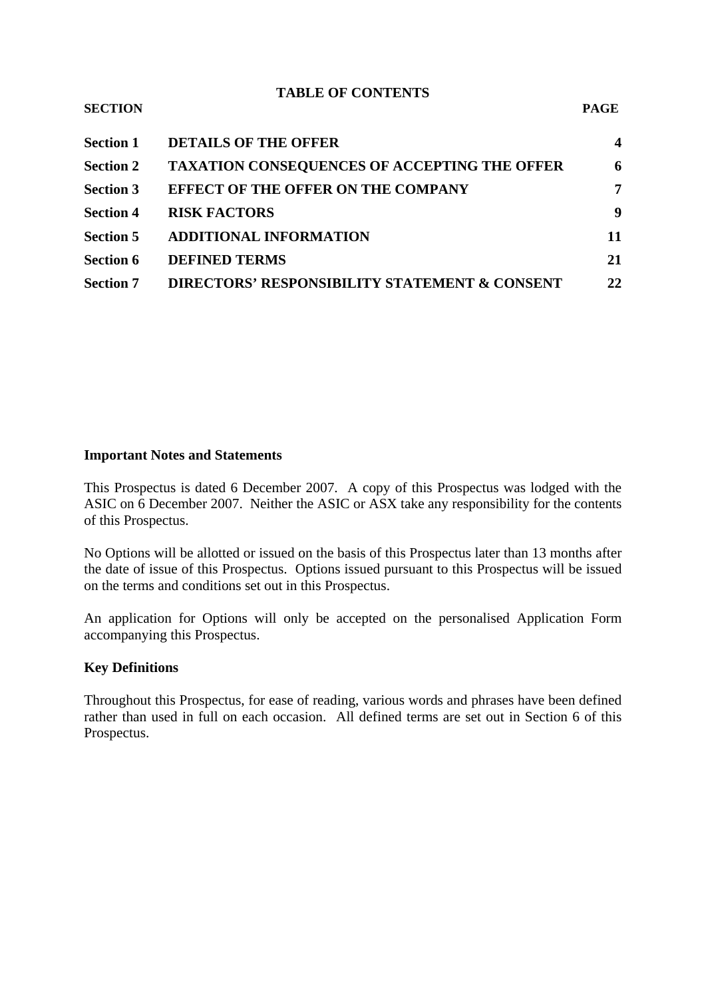#### **TABLE OF CONTENTS SECTION PAGE**

| <b>DETAILS OF THE OFFER</b><br><b>Section 1</b>                         | $\overline{\mathbf{4}}$ |
|-------------------------------------------------------------------------|-------------------------|
| <b>TAXATION CONSEQUENCES OF ACCEPTING THE OFFER</b><br><b>Section 2</b> | 6                       |
| <b>EFFECT OF THE OFFER ON THE COMPANY</b><br><b>Section 3</b>           | 7                       |
| <b>RISK FACTORS</b><br><b>Section 4</b>                                 | 9                       |
| <b>ADDITIONAL INFORMATION</b><br><b>Section 5</b>                       | 11                      |
| <b>DEFINED TERMS</b><br><b>Section 6</b>                                | 21                      |
| DIRECTORS' RESPONSIBILITY STATEMENT & CONSENT<br><b>Section 7</b>       | 22                      |

#### **Important Notes and Statements**

This Prospectus is dated 6 December 2007. A copy of this Prospectus was lodged with the ASIC on 6 December 2007. Neither the ASIC or ASX take any responsibility for the contents of this Prospectus.

No Options will be allotted or issued on the basis of this Prospectus later than 13 months after the date of issue of this Prospectus. Options issued pursuant to this Prospectus will be issued on the terms and conditions set out in this Prospectus.

An application for Options will only be accepted on the personalised Application Form accompanying this Prospectus.

#### **Key Definitions**

Throughout this Prospectus, for ease of reading, various words and phrases have been defined rather than used in full on each occasion. All defined terms are set out in Section 6 of this Prospectus.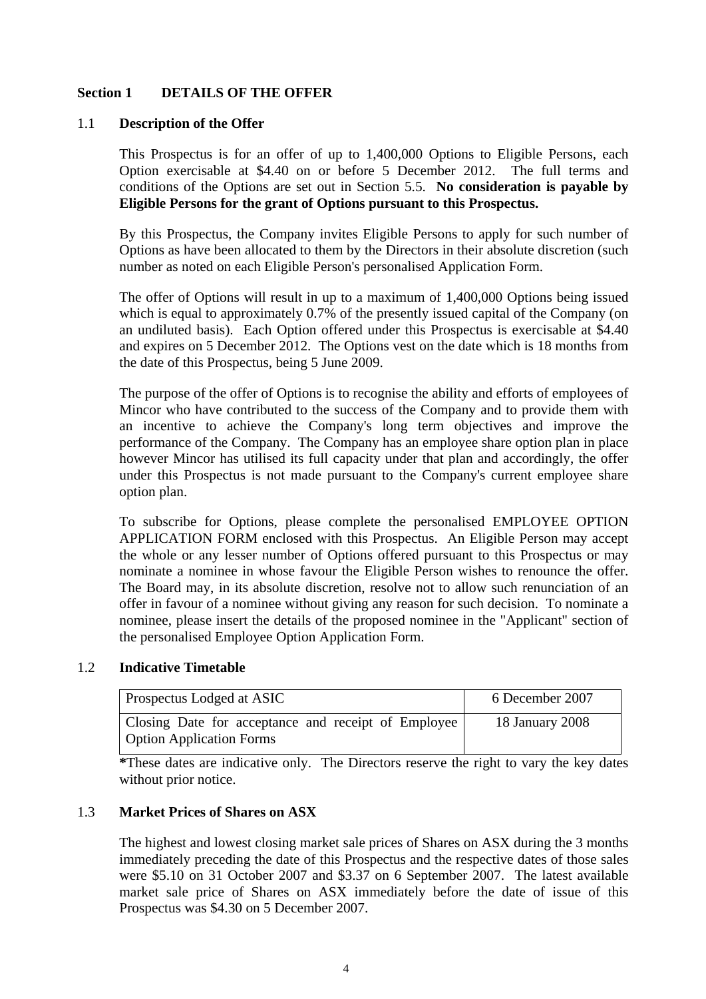#### **Section 1 DETAILS OF THE OFFER**

#### 1.1 **Description of the Offer**

This Prospectus is for an offer of up to 1,400,000 Options to Eligible Persons, each Option exercisable at \$4.40 on or before 5 December 2012. The full terms and conditions of the Options are set out in Section 5.5. **No consideration is payable by Eligible Persons for the grant of Options pursuant to this Prospectus.** 

By this Prospectus, the Company invites Eligible Persons to apply for such number of Options as have been allocated to them by the Directors in their absolute discretion (such number as noted on each Eligible Person's personalised Application Form.

The offer of Options will result in up to a maximum of 1,400,000 Options being issued which is equal to approximately 0.7% of the presently issued capital of the Company (on an undiluted basis). Each Option offered under this Prospectus is exercisable at \$4.40 and expires on 5 December 2012. The Options vest on the date which is 18 months from the date of this Prospectus, being 5 June 2009.

The purpose of the offer of Options is to recognise the ability and efforts of employees of Mincor who have contributed to the success of the Company and to provide them with an incentive to achieve the Company's long term objectives and improve the performance of the Company. The Company has an employee share option plan in place however Mincor has utilised its full capacity under that plan and accordingly, the offer under this Prospectus is not made pursuant to the Company's current employee share option plan.

To subscribe for Options, please complete the personalised EMPLOYEE OPTION APPLICATION FORM enclosed with this Prospectus. An Eligible Person may accept the whole or any lesser number of Options offered pursuant to this Prospectus or may nominate a nominee in whose favour the Eligible Person wishes to renounce the offer. The Board may, in its absolute discretion, resolve not to allow such renunciation of an offer in favour of a nominee without giving any reason for such decision. To nominate a nominee, please insert the details of the proposed nominee in the "Applicant" section of the personalised Employee Option Application Form.

#### 1.2 **Indicative Timetable**

| <b>Prospectus Lodged at ASIC</b>                                                       | 6 December 2007 |  |
|----------------------------------------------------------------------------------------|-----------------|--|
| Closing Date for acceptance and receipt of Employee<br><b>Option Application Forms</b> | 18 January 2008 |  |

**\***These dates are indicative only. The Directors reserve the right to vary the key dates without prior notice.

#### 1.3 **Market Prices of Shares on ASX**

The highest and lowest closing market sale prices of Shares on ASX during the 3 months immediately preceding the date of this Prospectus and the respective dates of those sales were \$5.10 on 31 October 2007 and \$3.37 on 6 September 2007. The latest available market sale price of Shares on ASX immediately before the date of issue of this Prospectus was \$4.30 on 5 December 2007.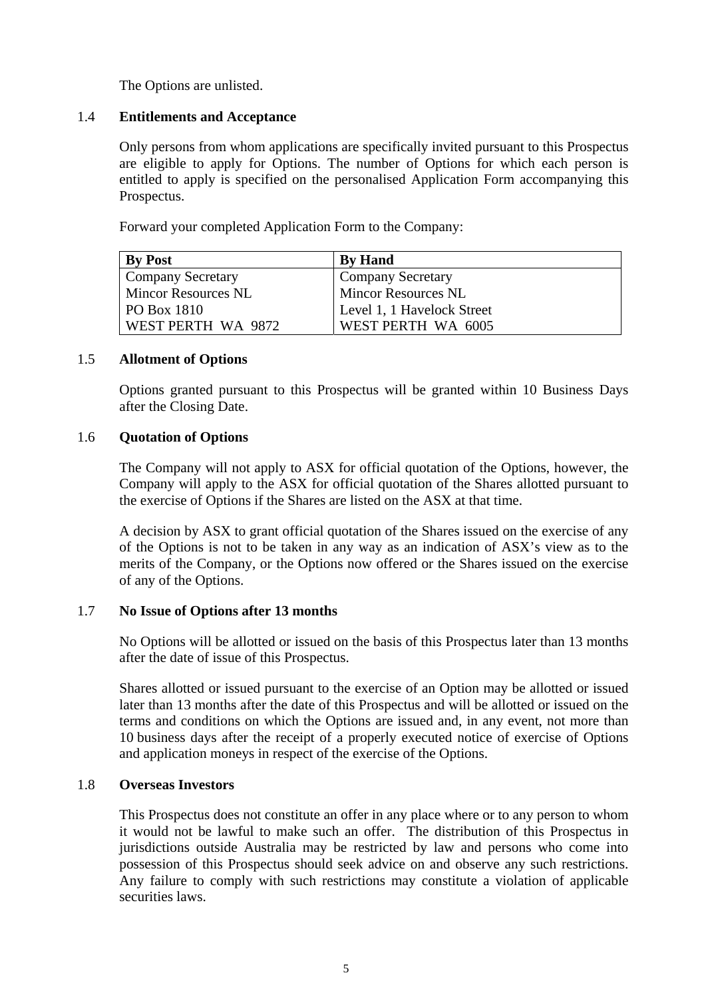The Options are unlisted.

#### 1.4 **Entitlements and Acceptance**

Only persons from whom applications are specifically invited pursuant to this Prospectus are eligible to apply for Options. The number of Options for which each person is entitled to apply is specified on the personalised Application Form accompanying this Prospectus.

Forward your completed Application Form to the Company:

| <b>By Post</b>             | <b>By Hand</b>             |
|----------------------------|----------------------------|
| <b>Company Secretary</b>   | <b>Company Secretary</b>   |
| <b>Mincor Resources NL</b> | <b>Mincor Resources NL</b> |
| $P$ O Box 1810             | Level 1, 1 Havelock Street |
| WEST PERTH WA 9872         | WEST PERTH WA 6005         |

#### 1.5 **Allotment of Options**

Options granted pursuant to this Prospectus will be granted within 10 Business Days after the Closing Date.

#### 1.6 **Quotation of Options**

The Company will not apply to ASX for official quotation of the Options, however, the Company will apply to the ASX for official quotation of the Shares allotted pursuant to the exercise of Options if the Shares are listed on the ASX at that time.

A decision by ASX to grant official quotation of the Shares issued on the exercise of any of the Options is not to be taken in any way as an indication of ASX's view as to the merits of the Company, or the Options now offered or the Shares issued on the exercise of any of the Options.

#### 1.7 **No Issue of Options after 13 months**

No Options will be allotted or issued on the basis of this Prospectus later than 13 months after the date of issue of this Prospectus.

Shares allotted or issued pursuant to the exercise of an Option may be allotted or issued later than 13 months after the date of this Prospectus and will be allotted or issued on the terms and conditions on which the Options are issued and, in any event, not more than 10 business days after the receipt of a properly executed notice of exercise of Options and application moneys in respect of the exercise of the Options.

#### 1.8 **Overseas Investors**

This Prospectus does not constitute an offer in any place where or to any person to whom it would not be lawful to make such an offer. The distribution of this Prospectus in jurisdictions outside Australia may be restricted by law and persons who come into possession of this Prospectus should seek advice on and observe any such restrictions. Any failure to comply with such restrictions may constitute a violation of applicable securities laws.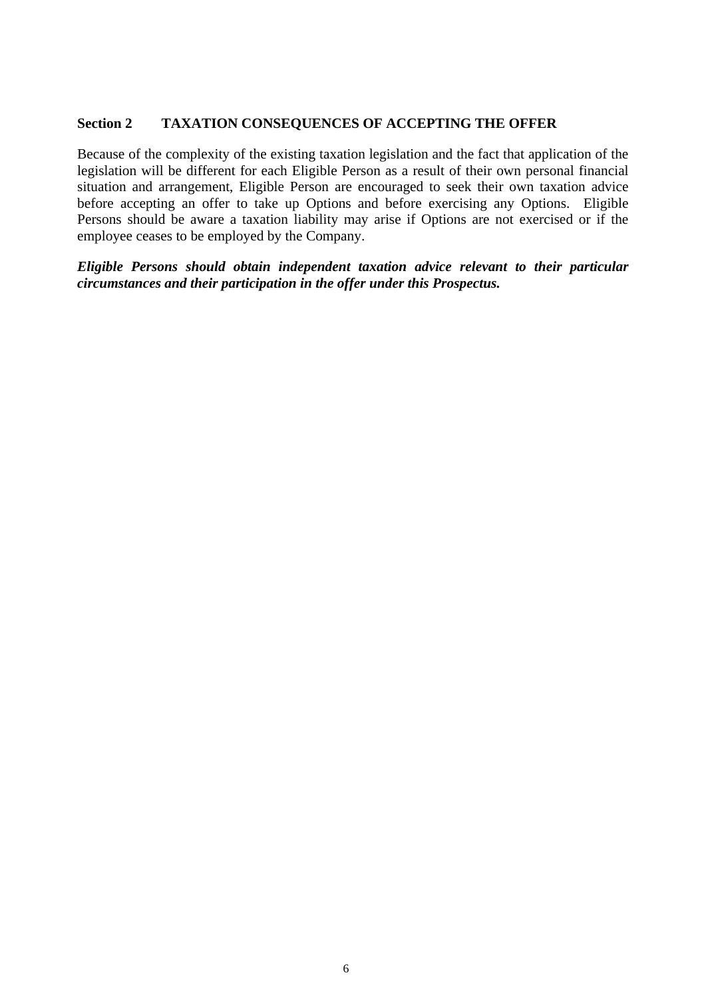#### **Section 2 TAXATION CONSEQUENCES OF ACCEPTING THE OFFER**

Because of the complexity of the existing taxation legislation and the fact that application of the legislation will be different for each Eligible Person as a result of their own personal financial situation and arrangement, Eligible Person are encouraged to seek their own taxation advice before accepting an offer to take up Options and before exercising any Options. Eligible Persons should be aware a taxation liability may arise if Options are not exercised or if the employee ceases to be employed by the Company.

*Eligible Persons should obtain independent taxation advice relevant to their particular circumstances and their participation in the offer under this Prospectus.*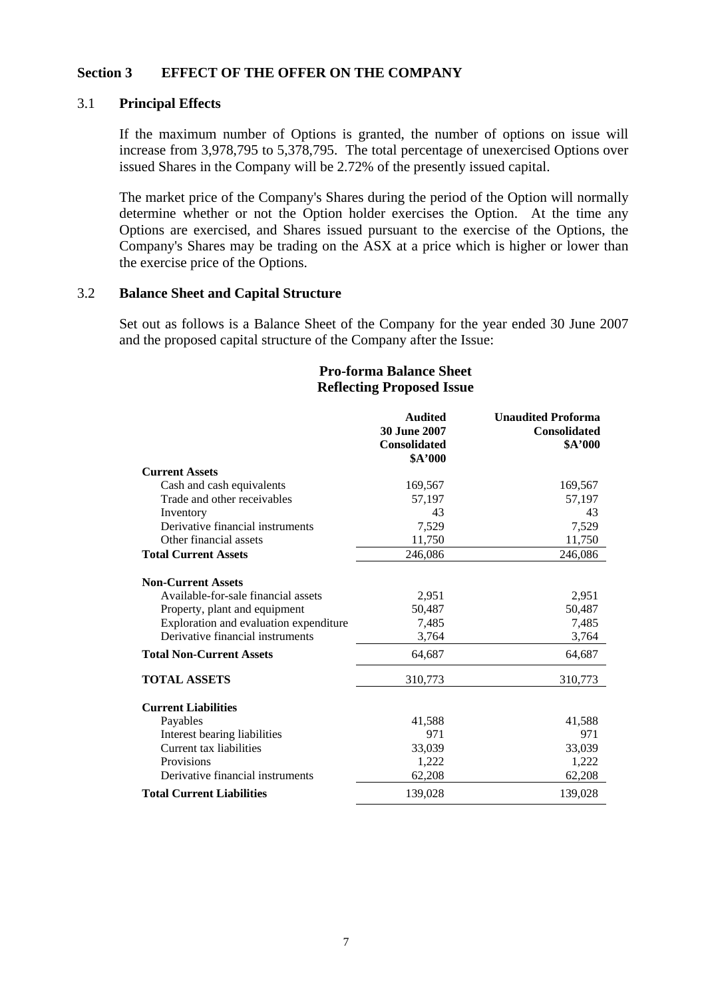#### **Section 3 EFFECT OF THE OFFER ON THE COMPANY**

#### 3.1 **Principal Effects**

If the maximum number of Options is granted, the number of options on issue will increase from 3,978,795 to 5,378,795. The total percentage of unexercised Options over issued Shares in the Company will be 2.72% of the presently issued capital.

The market price of the Company's Shares during the period of the Option will normally determine whether or not the Option holder exercises the Option. At the time any Options are exercised, and Shares issued pursuant to the exercise of the Options, the Company's Shares may be trading on the ASX at a price which is higher or lower than the exercise price of the Options.

#### 3.2 **Balance Sheet and Capital Structure**

Set out as follows is a Balance Sheet of the Company for the year ended 30 June 2007 and the proposed capital structure of the Company after the Issue:

#### **Audited 30 June 2007 Consolidated \$A'000 Unaudited Proforma Consolidated \$A'000 Current Assets** Cash and cash equivalents 169,567 169,567 Trade and other receivables 57,197 57,197 Inventory 43 43 43 Derivative financial instruments 7,529 7,529 7,529 Other financial assets 11,750 11,750 11,750 **Total Current Assets** 246,086 246,086 **Non-Current Assets** Available-for-sale financial assets 2,951 2,951 2,951 Property, plant and equipment 50,487 50,487 Exploration and evaluation expenditure  $7.485$  7.485 7.485 Derivative financial instruments 3,764 3,764 **Total Non-Current Assets** 64,687 64,687 64,687 **TOTAL ASSETS** 310,773 310,773 310,773 **Current Liabilities** Payables 41,588 41,588 41,588 Interest bearing liabilities 1971 971 971 Current tax liabilities 33,039 33,039 Provisions 1,222 1,222 Derivative financial instruments 62,208 62,208 **Total Current Liabilities** 139,028 139,028

#### **Pro-forma Balance Sheet Reflecting Proposed Issue**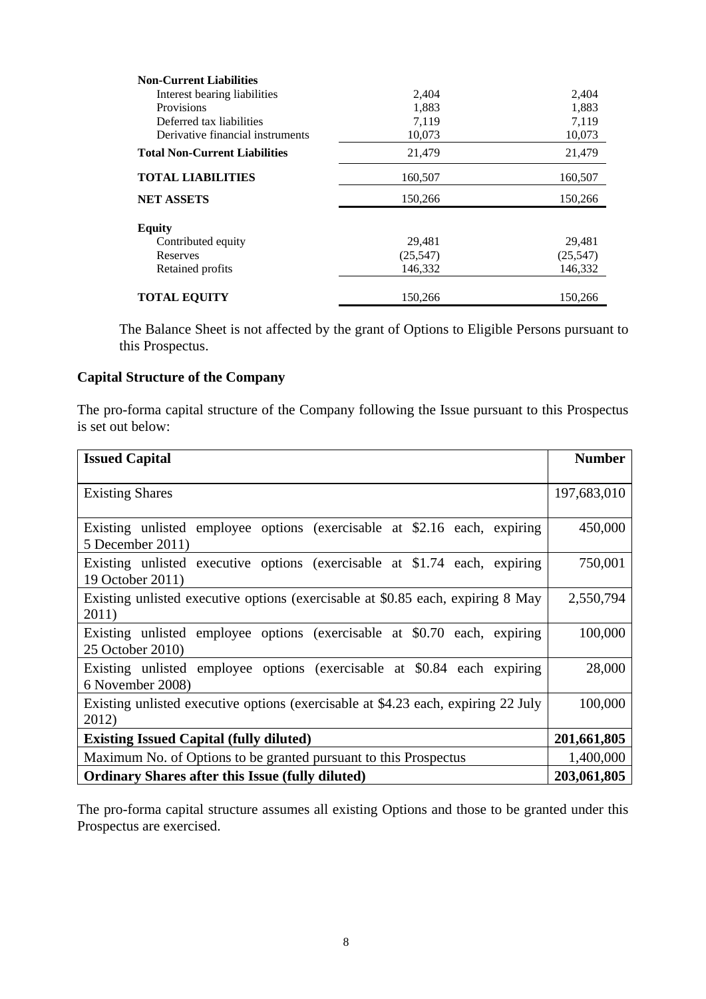| <b>Non-Current Liabilities</b>       |           |           |
|--------------------------------------|-----------|-----------|
| Interest bearing liabilities         | 2,404     | 2,404     |
| Provisions                           | 1,883     | 1,883     |
| Deferred tax liabilities             | 7.119     | 7,119     |
| Derivative financial instruments     | 10,073    | 10,073    |
| <b>Total Non-Current Liabilities</b> | 21,479    | 21,479    |
| <b>TOTAL LIABILITIES</b>             | 160,507   | 160,507   |
| <b>NET ASSETS</b>                    | 150,266   | 150,266   |
| <b>Equity</b>                        |           |           |
| Contributed equity                   | 29,481    | 29,481    |
| Reserves                             | (25, 547) | (25, 547) |
| Retained profits                     | 146,332   | 146,332   |
| <b>TOTAL EQUITY</b>                  | 150.266   | 150,266   |

The Balance Sheet is not affected by the grant of Options to Eligible Persons pursuant to this Prospectus.

# **Capital Structure of the Company**

The pro-forma capital structure of the Company following the Issue pursuant to this Prospectus is set out below:

| <b>Issued Capital</b>                                                                         | <b>Number</b> |
|-----------------------------------------------------------------------------------------------|---------------|
|                                                                                               |               |
| <b>Existing Shares</b>                                                                        | 197,683,010   |
| Existing unlisted employee options (exercisable at \$2.16 each, expiring<br>5 December 2011)  | 450,000       |
| Existing unlisted executive options (exercisable at \$1.74 each, expiring<br>19 October 2011) | 750,001       |
| Existing unlisted executive options (exercisable at \$0.85 each, expiring 8 May<br>2011)      | 2,550,794     |
| Existing unlisted employee options (exercisable at \$0.70 each, expiring<br>25 October 2010)  | 100,000       |
| Existing unlisted employee options (exercisable at \$0.84 each expiring<br>6 November 2008)   | 28,000        |
| Existing unlisted executive options (exercisable at \$4.23 each, expiring 22 July<br>2012)    | 100,000       |
| <b>Existing Issued Capital (fully diluted)</b>                                                | 201,661,805   |
| Maximum No. of Options to be granted pursuant to this Prospectus                              | 1,400,000     |
| <b>Ordinary Shares after this Issue (fully diluted)</b>                                       | 203,061,805   |

The pro-forma capital structure assumes all existing Options and those to be granted under this Prospectus are exercised.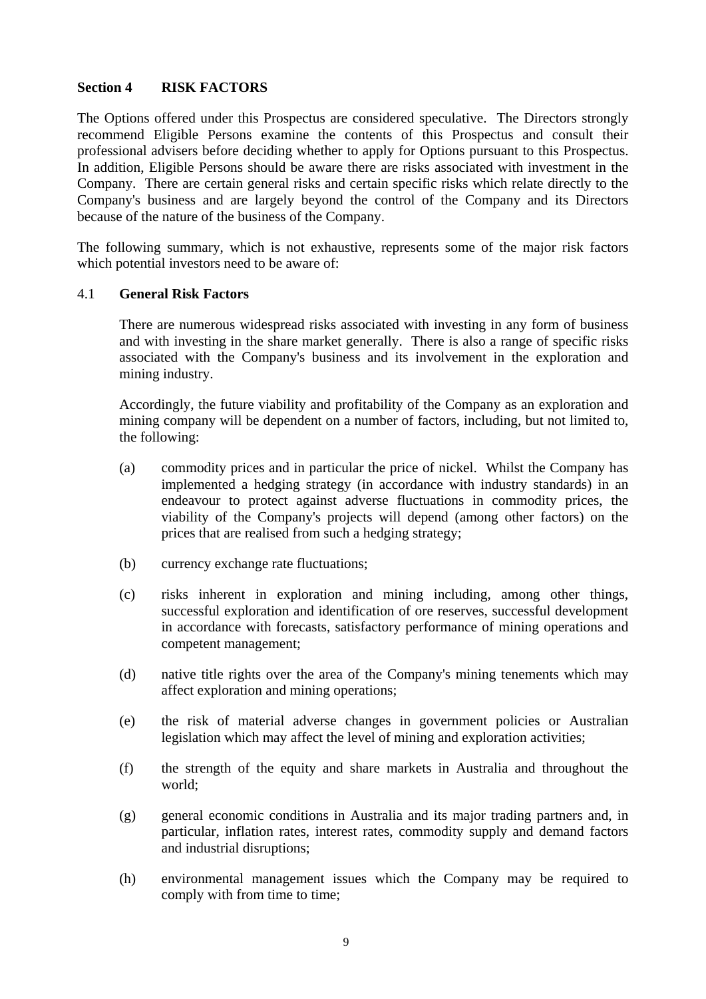#### **Section 4 RISK FACTORS**

The Options offered under this Prospectus are considered speculative. The Directors strongly recommend Eligible Persons examine the contents of this Prospectus and consult their professional advisers before deciding whether to apply for Options pursuant to this Prospectus. In addition, Eligible Persons should be aware there are risks associated with investment in the Company. There are certain general risks and certain specific risks which relate directly to the Company's business and are largely beyond the control of the Company and its Directors because of the nature of the business of the Company.

The following summary, which is not exhaustive, represents some of the major risk factors which potential investors need to be aware of:

#### 4.1 **General Risk Factors**

There are numerous widespread risks associated with investing in any form of business and with investing in the share market generally. There is also a range of specific risks associated with the Company's business and its involvement in the exploration and mining industry.

Accordingly, the future viability and profitability of the Company as an exploration and mining company will be dependent on a number of factors, including, but not limited to, the following:

- (a) commodity prices and in particular the price of nickel. Whilst the Company has implemented a hedging strategy (in accordance with industry standards) in an endeavour to protect against adverse fluctuations in commodity prices, the viability of the Company's projects will depend (among other factors) on the prices that are realised from such a hedging strategy;
- (b) currency exchange rate fluctuations;
- (c) risks inherent in exploration and mining including, among other things, successful exploration and identification of ore reserves, successful development in accordance with forecasts, satisfactory performance of mining operations and competent management;
- (d) native title rights over the area of the Company's mining tenements which may affect exploration and mining operations;
- (e) the risk of material adverse changes in government policies or Australian legislation which may affect the level of mining and exploration activities;
- (f) the strength of the equity and share markets in Australia and throughout the world;
- (g) general economic conditions in Australia and its major trading partners and, in particular, inflation rates, interest rates, commodity supply and demand factors and industrial disruptions;
- (h) environmental management issues which the Company may be required to comply with from time to time;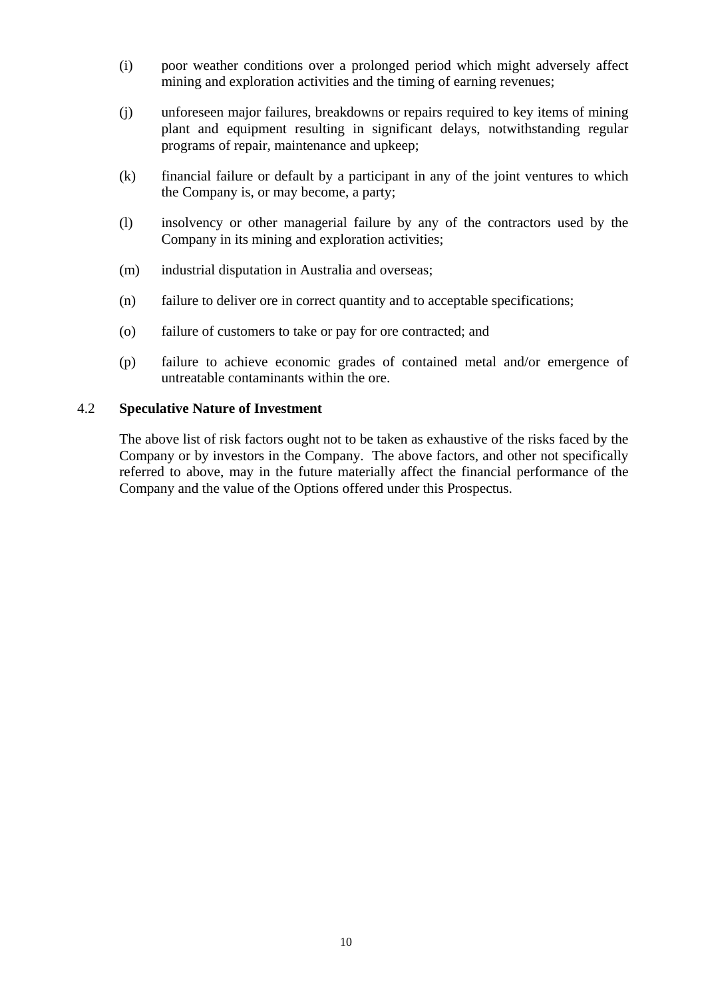- (i) poor weather conditions over a prolonged period which might adversely affect mining and exploration activities and the timing of earning revenues;
- (j) unforeseen major failures, breakdowns or repairs required to key items of mining plant and equipment resulting in significant delays, notwithstanding regular programs of repair, maintenance and upkeep;
- (k) financial failure or default by a participant in any of the joint ventures to which the Company is, or may become, a party;
- (l) insolvency or other managerial failure by any of the contractors used by the Company in its mining and exploration activities;
- (m) industrial disputation in Australia and overseas;
- (n) failure to deliver ore in correct quantity and to acceptable specifications;
- (o) failure of customers to take or pay for ore contracted; and
- (p) failure to achieve economic grades of contained metal and/or emergence of untreatable contaminants within the ore.

#### 4.2 **Speculative Nature of Investment**

The above list of risk factors ought not to be taken as exhaustive of the risks faced by the Company or by investors in the Company. The above factors, and other not specifically referred to above, may in the future materially affect the financial performance of the Company and the value of the Options offered under this Prospectus.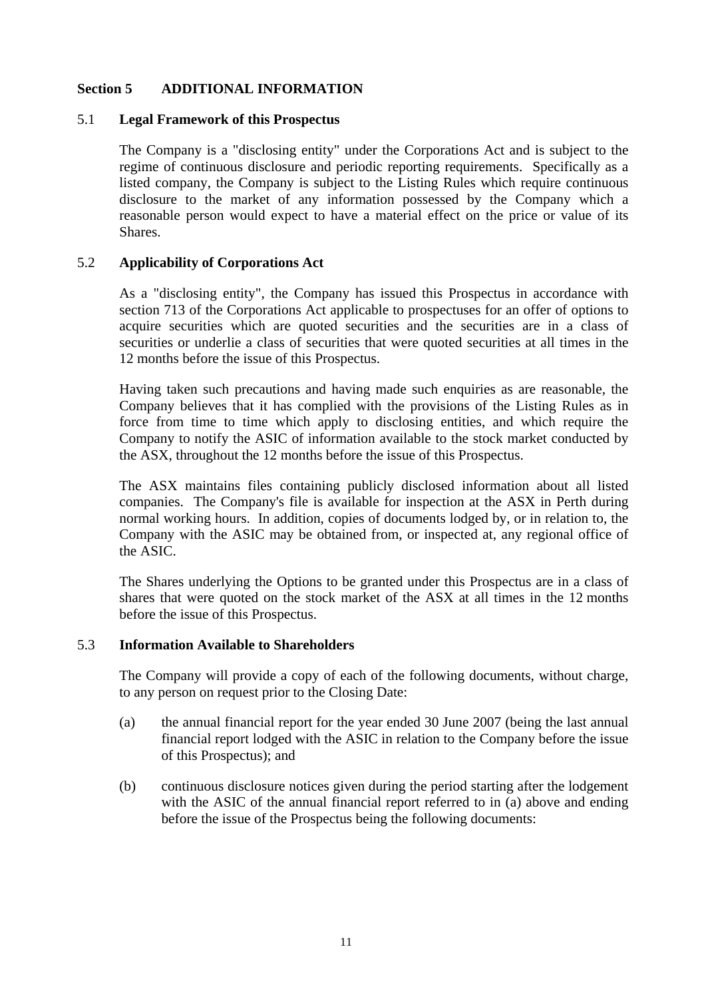#### **Section 5 ADDITIONAL INFORMATION**

#### 5.1 **Legal Framework of this Prospectus**

The Company is a "disclosing entity" under the Corporations Act and is subject to the regime of continuous disclosure and periodic reporting requirements. Specifically as a listed company, the Company is subject to the Listing Rules which require continuous disclosure to the market of any information possessed by the Company which a reasonable person would expect to have a material effect on the price or value of its Shares.

#### 5.2 **Applicability of Corporations Act**

As a "disclosing entity", the Company has issued this Prospectus in accordance with section 713 of the Corporations Act applicable to prospectuses for an offer of options to acquire securities which are quoted securities and the securities are in a class of securities or underlie a class of securities that were quoted securities at all times in the 12 months before the issue of this Prospectus.

Having taken such precautions and having made such enquiries as are reasonable, the Company believes that it has complied with the provisions of the Listing Rules as in force from time to time which apply to disclosing entities, and which require the Company to notify the ASIC of information available to the stock market conducted by the ASX, throughout the 12 months before the issue of this Prospectus.

The ASX maintains files containing publicly disclosed information about all listed companies. The Company's file is available for inspection at the ASX in Perth during normal working hours. In addition, copies of documents lodged by, or in relation to, the Company with the ASIC may be obtained from, or inspected at, any regional office of the ASIC.

The Shares underlying the Options to be granted under this Prospectus are in a class of shares that were quoted on the stock market of the ASX at all times in the 12 months before the issue of this Prospectus.

#### 5.3 **Information Available to Shareholders**

The Company will provide a copy of each of the following documents, without charge, to any person on request prior to the Closing Date:

- (a) the annual financial report for the year ended 30 June 2007 (being the last annual financial report lodged with the ASIC in relation to the Company before the issue of this Prospectus); and
- (b) continuous disclosure notices given during the period starting after the lodgement with the ASIC of the annual financial report referred to in (a) above and ending before the issue of the Prospectus being the following documents: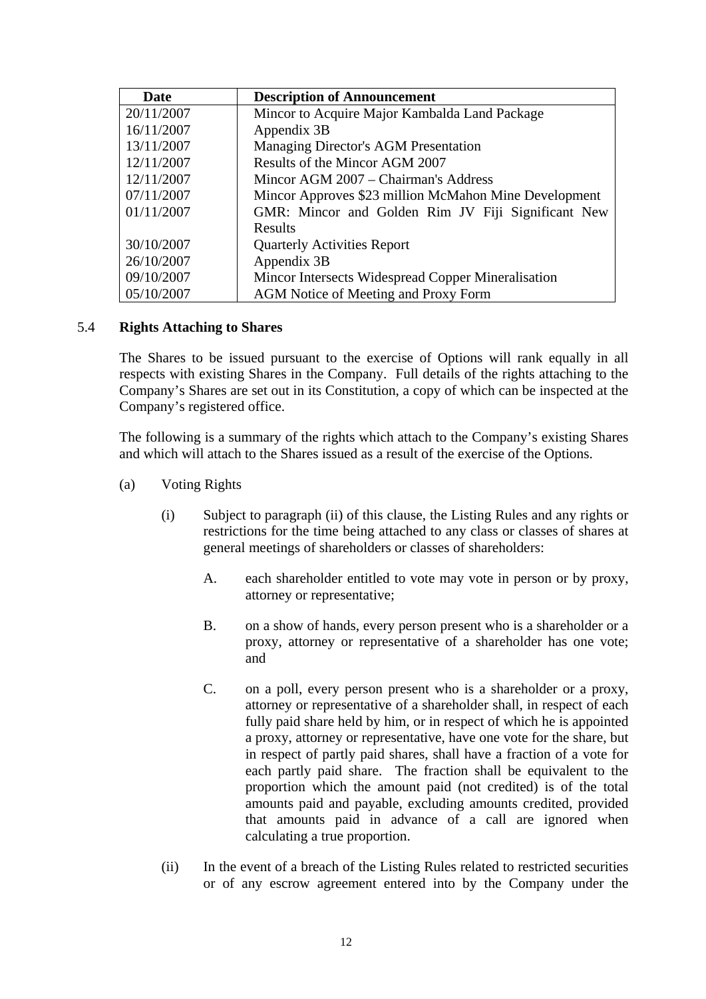| Date       | <b>Description of Announcement</b>                    |
|------------|-------------------------------------------------------|
| 20/11/2007 | Mincor to Acquire Major Kambalda Land Package         |
| 16/11/2007 | Appendix 3B                                           |
| 13/11/2007 | Managing Director's AGM Presentation                  |
| 12/11/2007 | Results of the Mincor AGM 2007                        |
| 12/11/2007 | Mincor AGM 2007 – Chairman's Address                  |
| 07/11/2007 | Mincor Approves \$23 million McMahon Mine Development |
| 01/11/2007 | GMR: Mincor and Golden Rim JV Fiji Significant New    |
|            | <b>Results</b>                                        |
| 30/10/2007 | <b>Quarterly Activities Report</b>                    |
| 26/10/2007 | Appendix 3B                                           |
| 09/10/2007 | Mincor Intersects Widespread Copper Mineralisation    |
| 05/10/2007 | AGM Notice of Meeting and Proxy Form                  |

#### 5.4 **Rights Attaching to Shares**

The Shares to be issued pursuant to the exercise of Options will rank equally in all respects with existing Shares in the Company. Full details of the rights attaching to the Company's Shares are set out in its Constitution, a copy of which can be inspected at the Company's registered office.

The following is a summary of the rights which attach to the Company's existing Shares and which will attach to the Shares issued as a result of the exercise of the Options.

- (a) Voting Rights
	- (i) Subject to paragraph (ii) of this clause, the Listing Rules and any rights or restrictions for the time being attached to any class or classes of shares at general meetings of shareholders or classes of shareholders:
		- A. each shareholder entitled to vote may vote in person or by proxy, attorney or representative;
		- B. on a show of hands, every person present who is a shareholder or a proxy, attorney or representative of a shareholder has one vote; and
		- C. on a poll, every person present who is a shareholder or a proxy, attorney or representative of a shareholder shall, in respect of each fully paid share held by him, or in respect of which he is appointed a proxy, attorney or representative, have one vote for the share, but in respect of partly paid shares, shall have a fraction of a vote for each partly paid share. The fraction shall be equivalent to the proportion which the amount paid (not credited) is of the total amounts paid and payable, excluding amounts credited, provided that amounts paid in advance of a call are ignored when calculating a true proportion.
	- (ii) In the event of a breach of the Listing Rules related to restricted securities or of any escrow agreement entered into by the Company under the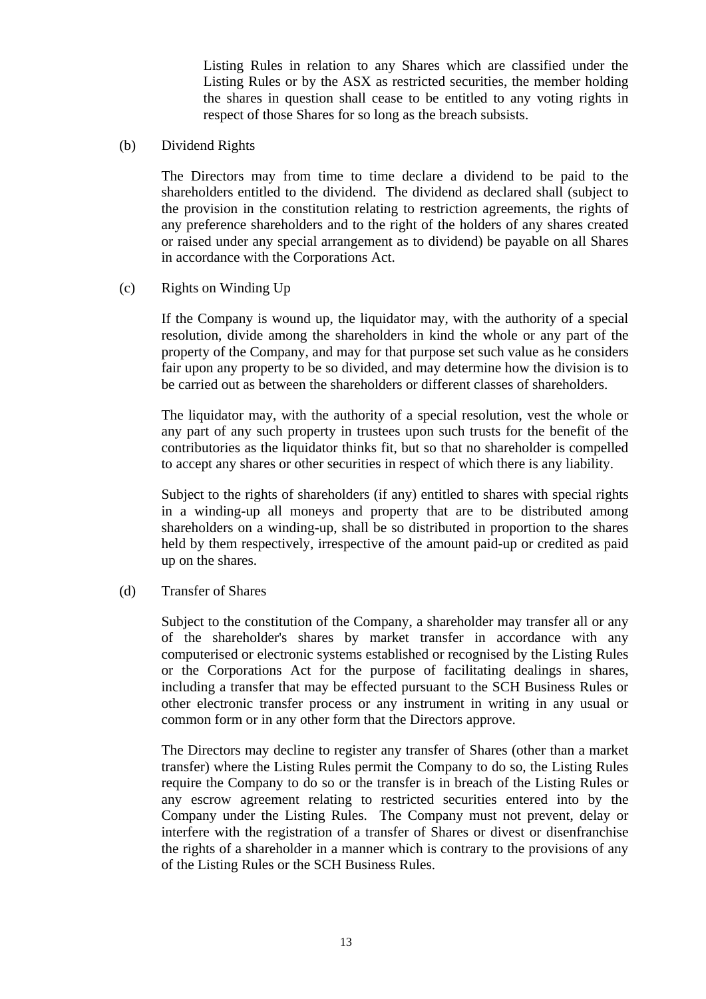Listing Rules in relation to any Shares which are classified under the Listing Rules or by the ASX as restricted securities, the member holding the shares in question shall cease to be entitled to any voting rights in respect of those Shares for so long as the breach subsists.

(b) Dividend Rights

The Directors may from time to time declare a dividend to be paid to the shareholders entitled to the dividend. The dividend as declared shall (subject to the provision in the constitution relating to restriction agreements, the rights of any preference shareholders and to the right of the holders of any shares created or raised under any special arrangement as to dividend) be payable on all Shares in accordance with the Corporations Act.

#### (c) Rights on Winding Up

If the Company is wound up, the liquidator may, with the authority of a special resolution, divide among the shareholders in kind the whole or any part of the property of the Company, and may for that purpose set such value as he considers fair upon any property to be so divided, and may determine how the division is to be carried out as between the shareholders or different classes of shareholders.

The liquidator may, with the authority of a special resolution, vest the whole or any part of any such property in trustees upon such trusts for the benefit of the contributories as the liquidator thinks fit, but so that no shareholder is compelled to accept any shares or other securities in respect of which there is any liability.

Subject to the rights of shareholders (if any) entitled to shares with special rights in a winding-up all moneys and property that are to be distributed among shareholders on a winding-up, shall be so distributed in proportion to the shares held by them respectively, irrespective of the amount paid-up or credited as paid up on the shares.

(d) Transfer of Shares

Subject to the constitution of the Company, a shareholder may transfer all or any of the shareholder's shares by market transfer in accordance with any computerised or electronic systems established or recognised by the Listing Rules or the Corporations Act for the purpose of facilitating dealings in shares, including a transfer that may be effected pursuant to the SCH Business Rules or other electronic transfer process or any instrument in writing in any usual or common form or in any other form that the Directors approve.

The Directors may decline to register any transfer of Shares (other than a market transfer) where the Listing Rules permit the Company to do so, the Listing Rules require the Company to do so or the transfer is in breach of the Listing Rules or any escrow agreement relating to restricted securities entered into by the Company under the Listing Rules. The Company must not prevent, delay or interfere with the registration of a transfer of Shares or divest or disenfranchise the rights of a shareholder in a manner which is contrary to the provisions of any of the Listing Rules or the SCH Business Rules.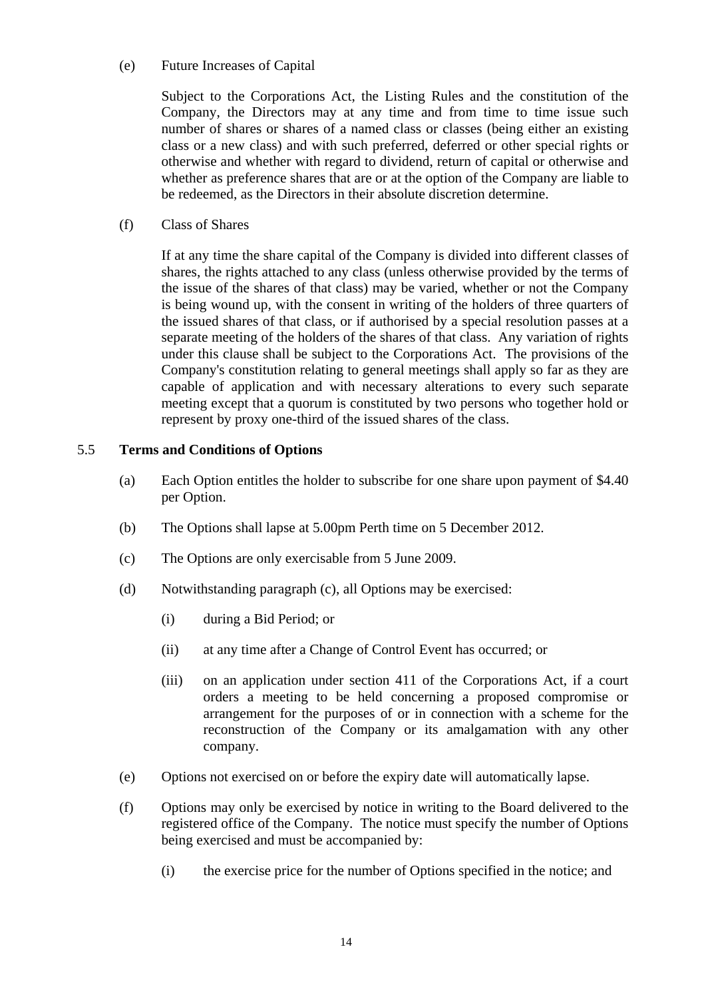#### (e) Future Increases of Capital

Subject to the Corporations Act, the Listing Rules and the constitution of the Company, the Directors may at any time and from time to time issue such number of shares or shares of a named class or classes (being either an existing class or a new class) and with such preferred, deferred or other special rights or otherwise and whether with regard to dividend, return of capital or otherwise and whether as preference shares that are or at the option of the Company are liable to be redeemed, as the Directors in their absolute discretion determine.

(f) Class of Shares

If at any time the share capital of the Company is divided into different classes of shares, the rights attached to any class (unless otherwise provided by the terms of the issue of the shares of that class) may be varied, whether or not the Company is being wound up, with the consent in writing of the holders of three quarters of the issued shares of that class, or if authorised by a special resolution passes at a separate meeting of the holders of the shares of that class. Any variation of rights under this clause shall be subject to the Corporations Act. The provisions of the Company's constitution relating to general meetings shall apply so far as they are capable of application and with necessary alterations to every such separate meeting except that a quorum is constituted by two persons who together hold or represent by proxy one-third of the issued shares of the class.

#### 5.5 **Terms and Conditions of Options**

- (a) Each Option entitles the holder to subscribe for one share upon payment of \$4.40 per Option.
- (b) The Options shall lapse at 5.00pm Perth time on 5 December 2012.
- (c) The Options are only exercisable from 5 June 2009.
- (d) Notwithstanding paragraph (c), all Options may be exercised:
	- (i) during a Bid Period; or
	- (ii) at any time after a Change of Control Event has occurred; or
	- (iii) on an application under section 411 of the Corporations Act, if a court orders a meeting to be held concerning a proposed compromise or arrangement for the purposes of or in connection with a scheme for the reconstruction of the Company or its amalgamation with any other company.
- (e) Options not exercised on or before the expiry date will automatically lapse.
- (f) Options may only be exercised by notice in writing to the Board delivered to the registered office of the Company. The notice must specify the number of Options being exercised and must be accompanied by:
	- (i) the exercise price for the number of Options specified in the notice; and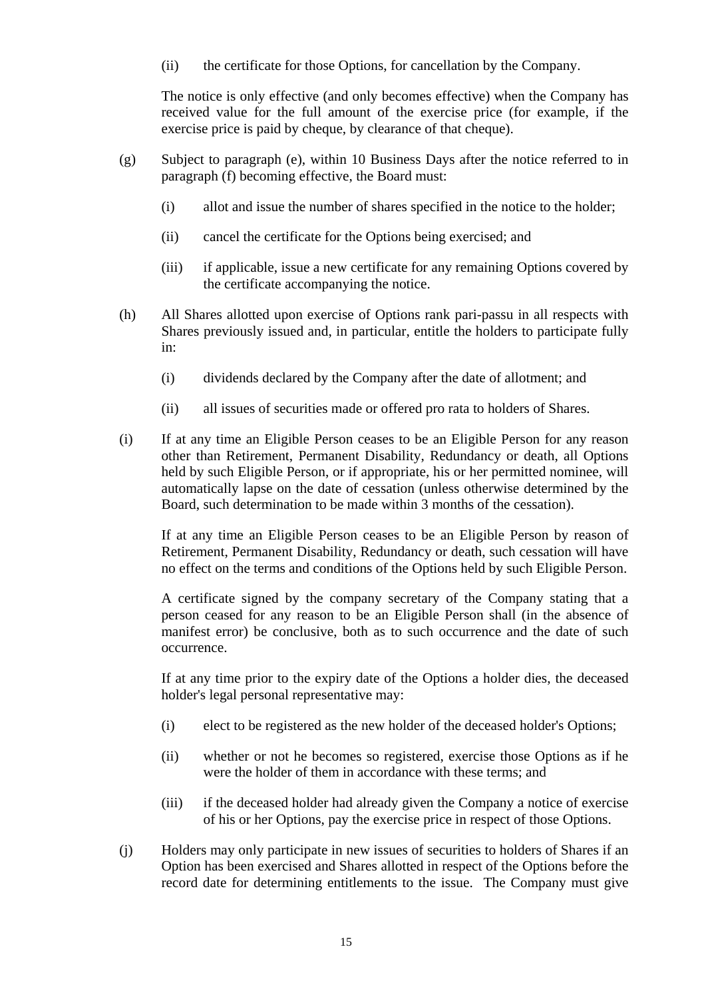(ii) the certificate for those Options, for cancellation by the Company.

The notice is only effective (and only becomes effective) when the Company has received value for the full amount of the exercise price (for example, if the exercise price is paid by cheque, by clearance of that cheque).

- (g) Subject to paragraph (e), within 10 Business Days after the notice referred to in paragraph (f) becoming effective, the Board must:
	- (i) allot and issue the number of shares specified in the notice to the holder;
	- (ii) cancel the certificate for the Options being exercised; and
	- (iii) if applicable, issue a new certificate for any remaining Options covered by the certificate accompanying the notice.
- (h) All Shares allotted upon exercise of Options rank pari-passu in all respects with Shares previously issued and, in particular, entitle the holders to participate fully in:
	- (i) dividends declared by the Company after the date of allotment; and
	- (ii) all issues of securities made or offered pro rata to holders of Shares.
- (i) If at any time an Eligible Person ceases to be an Eligible Person for any reason other than Retirement, Permanent Disability, Redundancy or death, all Options held by such Eligible Person, or if appropriate, his or her permitted nominee, will automatically lapse on the date of cessation (unless otherwise determined by the Board, such determination to be made within 3 months of the cessation).

If at any time an Eligible Person ceases to be an Eligible Person by reason of Retirement, Permanent Disability, Redundancy or death, such cessation will have no effect on the terms and conditions of the Options held by such Eligible Person.

A certificate signed by the company secretary of the Company stating that a person ceased for any reason to be an Eligible Person shall (in the absence of manifest error) be conclusive, both as to such occurrence and the date of such occurrence.

If at any time prior to the expiry date of the Options a holder dies, the deceased holder's legal personal representative may:

- (i) elect to be registered as the new holder of the deceased holder's Options;
- (ii) whether or not he becomes so registered, exercise those Options as if he were the holder of them in accordance with these terms; and
- (iii) if the deceased holder had already given the Company a notice of exercise of his or her Options, pay the exercise price in respect of those Options.
- (j) Holders may only participate in new issues of securities to holders of Shares if an Option has been exercised and Shares allotted in respect of the Options before the record date for determining entitlements to the issue. The Company must give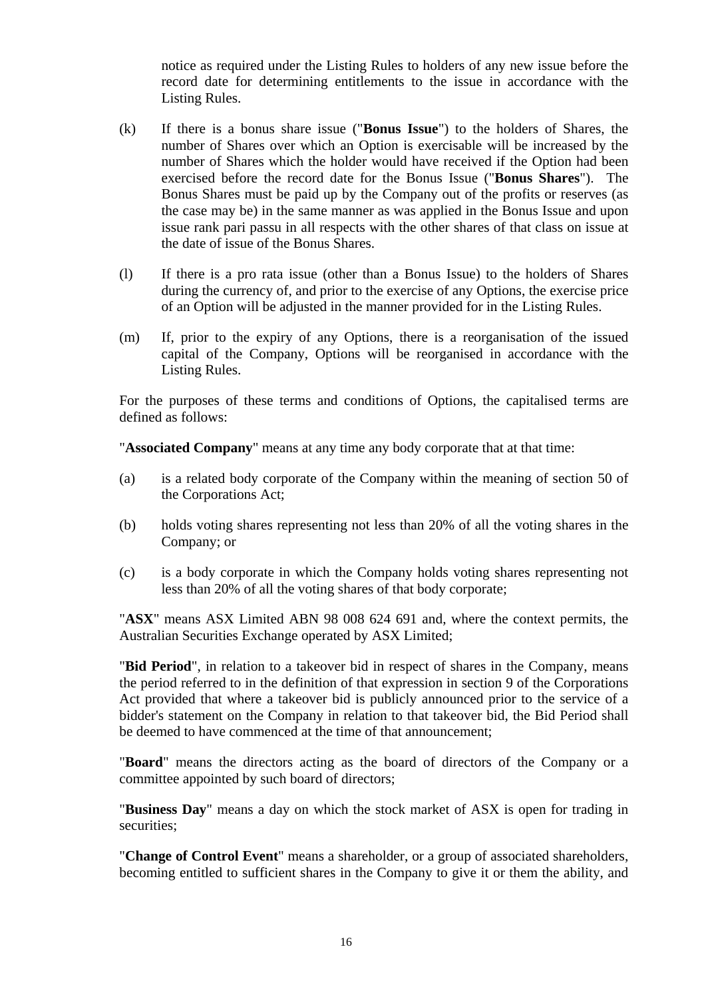notice as required under the Listing Rules to holders of any new issue before the record date for determining entitlements to the issue in accordance with the Listing Rules.

- (k) If there is a bonus share issue ("**Bonus Issue**") to the holders of Shares, the number of Shares over which an Option is exercisable will be increased by the number of Shares which the holder would have received if the Option had been exercised before the record date for the Bonus Issue ("**Bonus Shares**"). The Bonus Shares must be paid up by the Company out of the profits or reserves (as the case may be) in the same manner as was applied in the Bonus Issue and upon issue rank pari passu in all respects with the other shares of that class on issue at the date of issue of the Bonus Shares.
- (l) If there is a pro rata issue (other than a Bonus Issue) to the holders of Shares during the currency of, and prior to the exercise of any Options, the exercise price of an Option will be adjusted in the manner provided for in the Listing Rules.
- (m) If, prior to the expiry of any Options, there is a reorganisation of the issued capital of the Company, Options will be reorganised in accordance with the Listing Rules.

For the purposes of these terms and conditions of Options, the capitalised terms are defined as follows:

"**Associated Company**" means at any time any body corporate that at that time:

- (a) is a related body corporate of the Company within the meaning of section 50 of the Corporations Act;
- (b) holds voting shares representing not less than 20% of all the voting shares in the Company; or
- (c) is a body corporate in which the Company holds voting shares representing not less than 20% of all the voting shares of that body corporate;

"**ASX**" means ASX Limited ABN 98 008 624 691 and, where the context permits, the Australian Securities Exchange operated by ASX Limited;

"**Bid Period**", in relation to a takeover bid in respect of shares in the Company, means the period referred to in the definition of that expression in section 9 of the Corporations Act provided that where a takeover bid is publicly announced prior to the service of a bidder's statement on the Company in relation to that takeover bid, the Bid Period shall be deemed to have commenced at the time of that announcement;

"**Board**" means the directors acting as the board of directors of the Company or a committee appointed by such board of directors;

"**Business Day**" means a day on which the stock market of ASX is open for trading in securities;

"**Change of Control Event**" means a shareholder, or a group of associated shareholders, becoming entitled to sufficient shares in the Company to give it or them the ability, and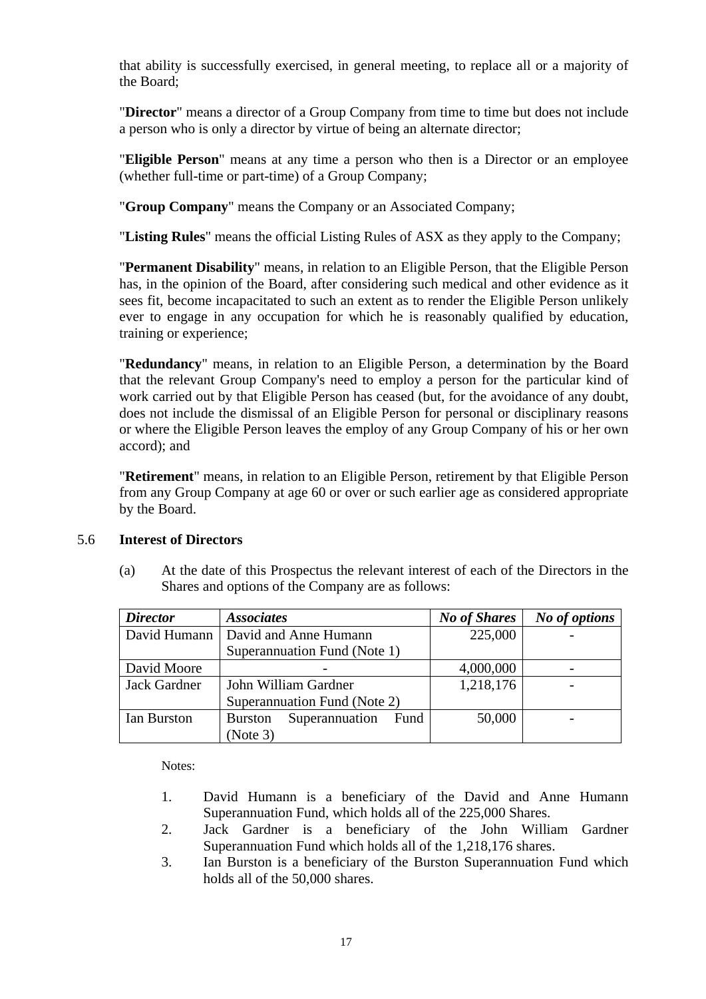that ability is successfully exercised, in general meeting, to replace all or a majority of the Board;

"**Director**" means a director of a Group Company from time to time but does not include a person who is only a director by virtue of being an alternate director;

"**Eligible Person**" means at any time a person who then is a Director or an employee (whether full-time or part-time) of a Group Company;

"**Group Company**" means the Company or an Associated Company;

"**Listing Rules**" means the official Listing Rules of ASX as they apply to the Company;

"**Permanent Disability**" means, in relation to an Eligible Person, that the Eligible Person has, in the opinion of the Board, after considering such medical and other evidence as it sees fit, become incapacitated to such an extent as to render the Eligible Person unlikely ever to engage in any occupation for which he is reasonably qualified by education, training or experience;

"**Redundancy**" means, in relation to an Eligible Person, a determination by the Board that the relevant Group Company's need to employ a person for the particular kind of work carried out by that Eligible Person has ceased (but, for the avoidance of any doubt, does not include the dismissal of an Eligible Person for personal or disciplinary reasons or where the Eligible Person leaves the employ of any Group Company of his or her own accord); and

"**Retirement**" means, in relation to an Eligible Person, retirement by that Eligible Person from any Group Company at age 60 or over or such earlier age as considered appropriate by the Board.

#### 5.6 **Interest of Directors**

(a) At the date of this Prospectus the relevant interest of each of the Directors in the Shares and options of the Company are as follows:

| <b>Director</b> | <b>Associates</b>                        | <b>No of Shares</b> | No of options |
|-----------------|------------------------------------------|---------------------|---------------|
| David Humann    | David and Anne Humann                    | 225,000             |               |
|                 | Superannuation Fund (Note 1)             |                     |               |
| David Moore     |                                          | 4,000,000           |               |
| Jack Gardner    | John William Gardner                     | 1,218,176           |               |
|                 | Superannuation Fund (Note 2)             |                     |               |
| Ian Burston     | Superannuation<br>Fund<br><b>Burston</b> | 50,000              |               |
|                 | (Note 3)                                 |                     |               |

Notes:

- 1. David Humann is a beneficiary of the David and Anne Humann Superannuation Fund, which holds all of the 225,000 Shares.
- 2. Jack Gardner is a beneficiary of the John William Gardner Superannuation Fund which holds all of the 1,218,176 shares.
- 3. Ian Burston is a beneficiary of the Burston Superannuation Fund which holds all of the 50,000 shares.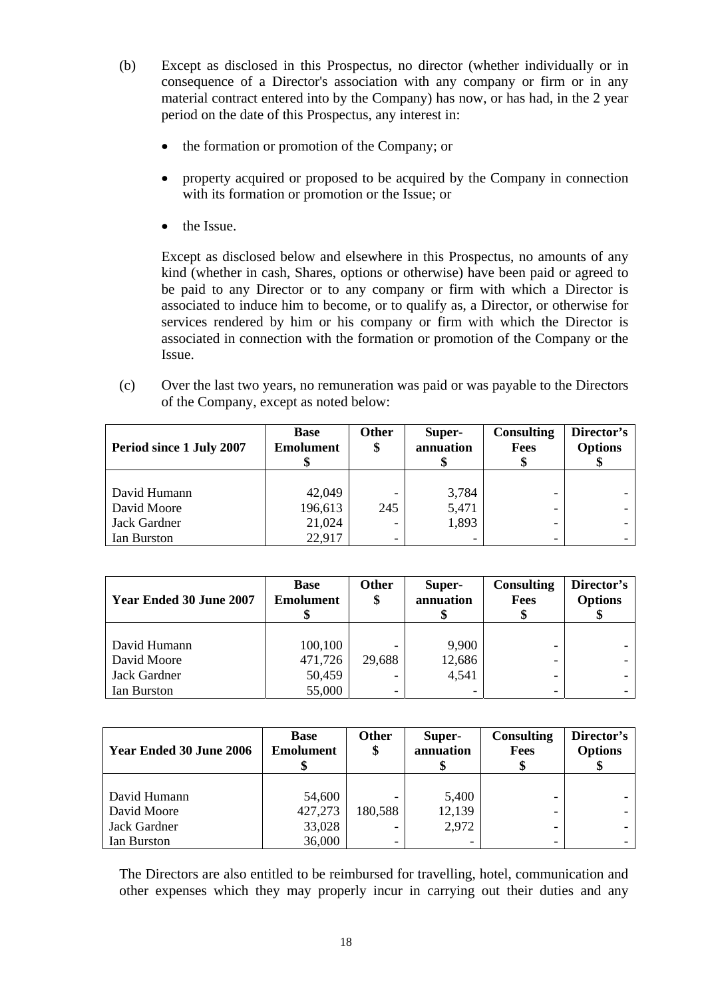- (b) Except as disclosed in this Prospectus, no director (whether individually or in consequence of a Director's association with any company or firm or in any material contract entered into by the Company) has now, or has had, in the 2 year period on the date of this Prospectus, any interest in:
	- the formation or promotion of the Company; or
	- property acquired or proposed to be acquired by the Company in connection with its formation or promotion or the Issue; or
	- the Issue.

Except as disclosed below and elsewhere in this Prospectus, no amounts of any kind (whether in cash, Shares, options or otherwise) have been paid or agreed to be paid to any Director or to any company or firm with which a Director is associated to induce him to become, or to qualify as, a Director, or otherwise for services rendered by him or his company or firm with which the Director is associated in connection with the formation or promotion of the Company or the Issue.

(c) Over the last two years, no remuneration was paid or was payable to the Directors of the Company, except as noted below:

| Period since 1 July 2007 | <b>Base</b><br><b>Emolument</b> | <b>Other</b><br>\$ | Super-<br>annuation | <b>Consulting</b><br><b>Fees</b> | Director's<br><b>Options</b> |
|--------------------------|---------------------------------|--------------------|---------------------|----------------------------------|------------------------------|
|                          |                                 |                    |                     |                                  |                              |
| David Humann             | 42,049                          |                    | 3,784               |                                  |                              |
| David Moore              | 196,613                         | 245                | 5,471               |                                  |                              |
| Jack Gardner             | 21,024                          |                    | 1,893               |                                  |                              |
| Ian Burston              | 22,917                          |                    | -                   |                                  |                              |

| <b>Year Ended 30 June 2007</b> | <b>Base</b><br><b>Emolument</b> | Other<br>\$ | Super-<br>annuation | <b>Consulting</b><br>Fees | Director's<br><b>Options</b> |
|--------------------------------|---------------------------------|-------------|---------------------|---------------------------|------------------------------|
|                                |                                 |             |                     |                           |                              |
| David Humann                   | 100,100                         |             | 9,900               |                           |                              |
| David Moore                    | 471,726                         | 29,688      | 12,686              |                           |                              |
| Jack Gardner                   | 50,459                          |             | 4,541               |                           |                              |
| Ian Burston                    | 55,000                          |             | -                   |                           |                              |

| <b>Year Ended 30 June 2006</b> | <b>Base</b><br><b>Emolument</b> | <b>Other</b><br>\$ | Super-<br>annuation | <b>Consulting</b><br>Fees | Director's<br><b>Options</b> |
|--------------------------------|---------------------------------|--------------------|---------------------|---------------------------|------------------------------|
|                                |                                 |                    |                     |                           |                              |
| David Humann                   | 54,600                          |                    | 5,400               |                           |                              |
| David Moore                    | 427,273                         | 180,588            | 12,139              |                           |                              |
| Jack Gardner                   | 33,028                          |                    | 2,972               |                           |                              |
| Ian Burston                    | 36,000                          |                    |                     |                           |                              |

The Directors are also entitled to be reimbursed for travelling, hotel, communication and other expenses which they may properly incur in carrying out their duties and any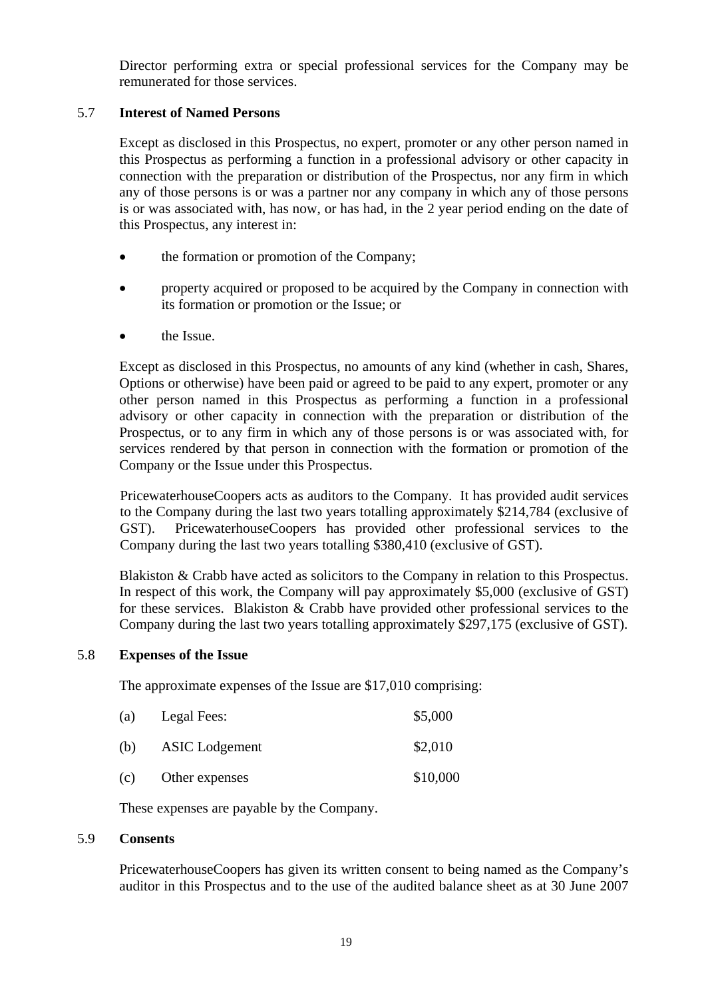Director performing extra or special professional services for the Company may be remunerated for those services.

#### 5.7 **Interest of Named Persons**

Except as disclosed in this Prospectus, no expert, promoter or any other person named in this Prospectus as performing a function in a professional advisory or other capacity in connection with the preparation or distribution of the Prospectus, nor any firm in which any of those persons is or was a partner nor any company in which any of those persons is or was associated with, has now, or has had, in the 2 year period ending on the date of this Prospectus, any interest in:

- the formation or promotion of the Company;
- property acquired or proposed to be acquired by the Company in connection with its formation or promotion or the Issue; or
- the Issue.

Except as disclosed in this Prospectus, no amounts of any kind (whether in cash, Shares, Options or otherwise) have been paid or agreed to be paid to any expert, promoter or any other person named in this Prospectus as performing a function in a professional advisory or other capacity in connection with the preparation or distribution of the Prospectus, or to any firm in which any of those persons is or was associated with, for services rendered by that person in connection with the formation or promotion of the Company or the Issue under this Prospectus.

PricewaterhouseCoopers acts as auditors to the Company. It has provided audit services to the Company during the last two years totalling approximately \$214,784 (exclusive of GST). PricewaterhouseCoopers has provided other professional services to the Company during the last two years totalling \$380,410 (exclusive of GST).

Blakiston & Crabb have acted as solicitors to the Company in relation to this Prospectus. In respect of this work, the Company will pay approximately \$5,000 (exclusive of GST) for these services. Blakiston & Crabb have provided other professional services to the Company during the last two years totalling approximately \$297,175 (exclusive of GST).

#### 5.8 **Expenses of the Issue**

The approximate expenses of the Issue are \$17,010 comprising:

| (a) | Legal Fees:           | \$5,000  |
|-----|-----------------------|----------|
| (b) | <b>ASIC</b> Lodgement | \$2,010  |
| (c) | Other expenses        | \$10,000 |

These expenses are payable by the Company.

#### 5.9 **Consents**

PricewaterhouseCoopers has given its written consent to being named as the Company's auditor in this Prospectus and to the use of the audited balance sheet as at 30 June 2007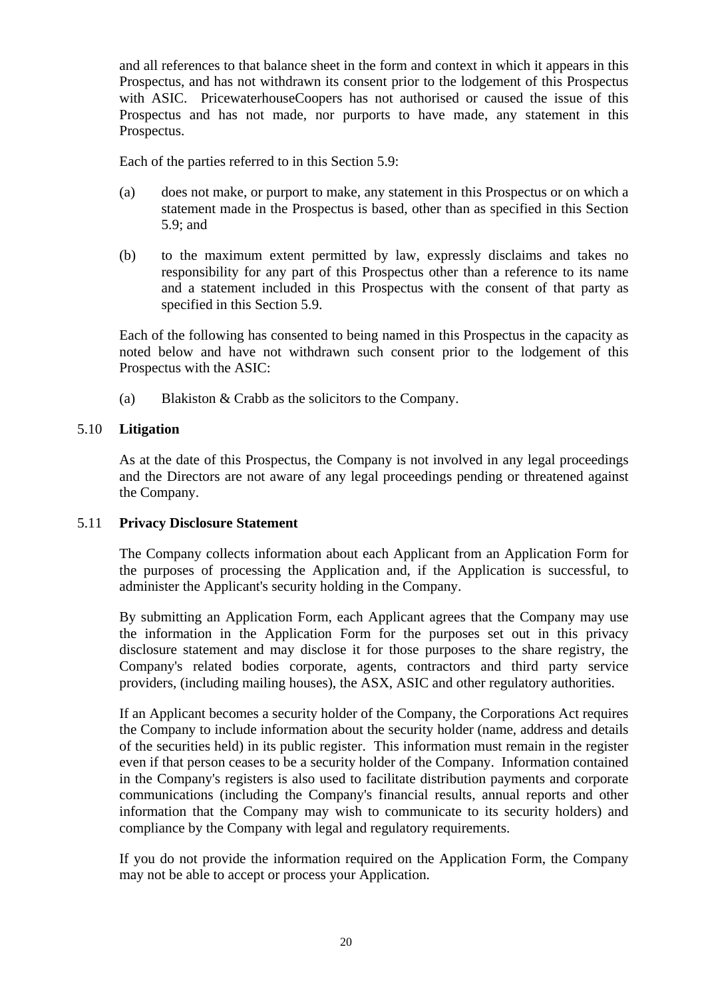and all references to that balance sheet in the form and context in which it appears in this Prospectus, and has not withdrawn its consent prior to the lodgement of this Prospectus with ASIC. PricewaterhouseCoopers has not authorised or caused the issue of this Prospectus and has not made, nor purports to have made, any statement in this Prospectus.

Each of the parties referred to in this Section 5.9:

- (a) does not make, or purport to make, any statement in this Prospectus or on which a statement made in the Prospectus is based, other than as specified in this Section 5.9; and
- (b) to the maximum extent permitted by law, expressly disclaims and takes no responsibility for any part of this Prospectus other than a reference to its name and a statement included in this Prospectus with the consent of that party as specified in this Section 5.9.

Each of the following has consented to being named in this Prospectus in the capacity as noted below and have not withdrawn such consent prior to the lodgement of this Prospectus with the ASIC:

(a) Blakiston & Crabb as the solicitors to the Company.

#### 5.10 **Litigation**

As at the date of this Prospectus, the Company is not involved in any legal proceedings and the Directors are not aware of any legal proceedings pending or threatened against the Company.

#### 5.11 **Privacy Disclosure Statement**

The Company collects information about each Applicant from an Application Form for the purposes of processing the Application and, if the Application is successful, to administer the Applicant's security holding in the Company.

By submitting an Application Form, each Applicant agrees that the Company may use the information in the Application Form for the purposes set out in this privacy disclosure statement and may disclose it for those purposes to the share registry, the Company's related bodies corporate, agents, contractors and third party service providers, (including mailing houses), the ASX, ASIC and other regulatory authorities.

If an Applicant becomes a security holder of the Company, the Corporations Act requires the Company to include information about the security holder (name, address and details of the securities held) in its public register. This information must remain in the register even if that person ceases to be a security holder of the Company. Information contained in the Company's registers is also used to facilitate distribution payments and corporate communications (including the Company's financial results, annual reports and other information that the Company may wish to communicate to its security holders) and compliance by the Company with legal and regulatory requirements.

If you do not provide the information required on the Application Form, the Company may not be able to accept or process your Application.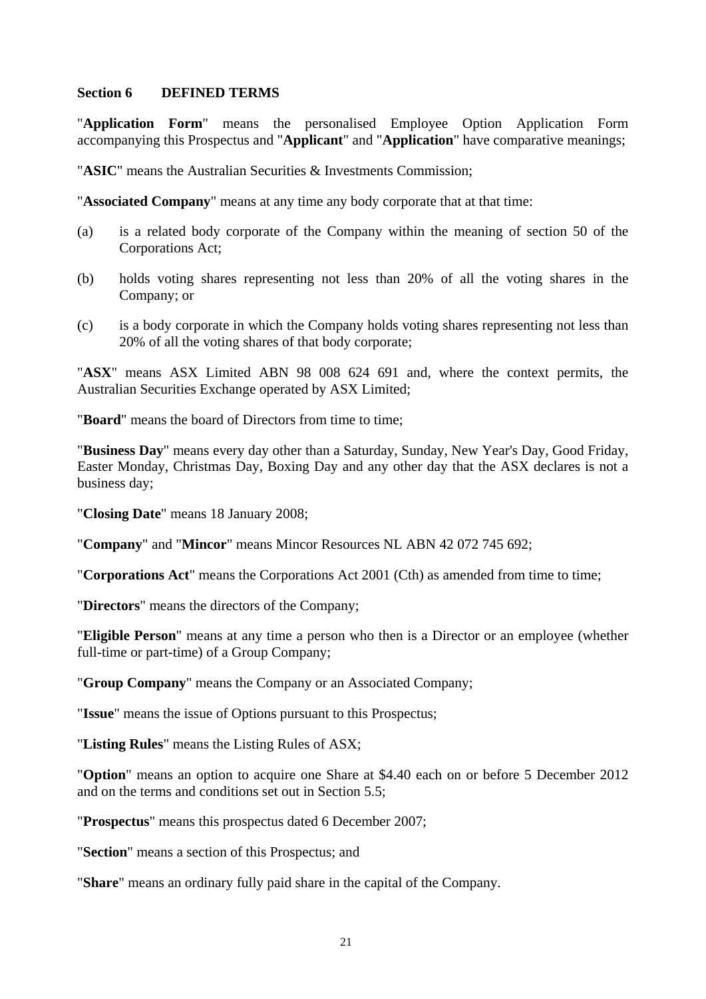#### **Section 6 DEFINED TERMS**

"**Application Form**" means the personalised Employee Option Application Form accompanying this Prospectus and "**Applicant**" and "**Application**" have comparative meanings;

"**ASIC**" means the Australian Securities & Investments Commission;

"**Associated Company**" means at any time any body corporate that at that time:

- (a) is a related body corporate of the Company within the meaning of section 50 of the Corporations Act;
- (b) holds voting shares representing not less than 20% of all the voting shares in the Company; or
- (c) is a body corporate in which the Company holds voting shares representing not less than 20% of all the voting shares of that body corporate;

"**ASX**" means ASX Limited ABN 98 008 624 691 and, where the context permits, the Australian Securities Exchange operated by ASX Limited;

"**Board**" means the board of Directors from time to time;

"**Business Day**" means every day other than a Saturday, Sunday, New Year's Day, Good Friday, Easter Monday, Christmas Day, Boxing Day and any other day that the ASX declares is not a business day;

"**Closing Date**" means 18 January 2008;

"**Company**" and "**Mincor**" means Mincor Resources NL ABN 42 072 745 692;

"**Corporations Act**" means the Corporations Act 2001 (Cth) as amended from time to time;

"**Directors**" means the directors of the Company;

"**Eligible Person**" means at any time a person who then is a Director or an employee (whether full-time or part-time) of a Group Company;

"**Group Company**" means the Company or an Associated Company;

"**Issue**" means the issue of Options pursuant to this Prospectus;

"**Listing Rules**" means the Listing Rules of ASX;

"**Option**" means an option to acquire one Share at \$4.40 each on or before 5 December 2012 and on the terms and conditions set out in Section 5.5;

"**Prospectus**" means this prospectus dated 6 December 2007;

"**Section**" means a section of this Prospectus; and

"**Share**" means an ordinary fully paid share in the capital of the Company.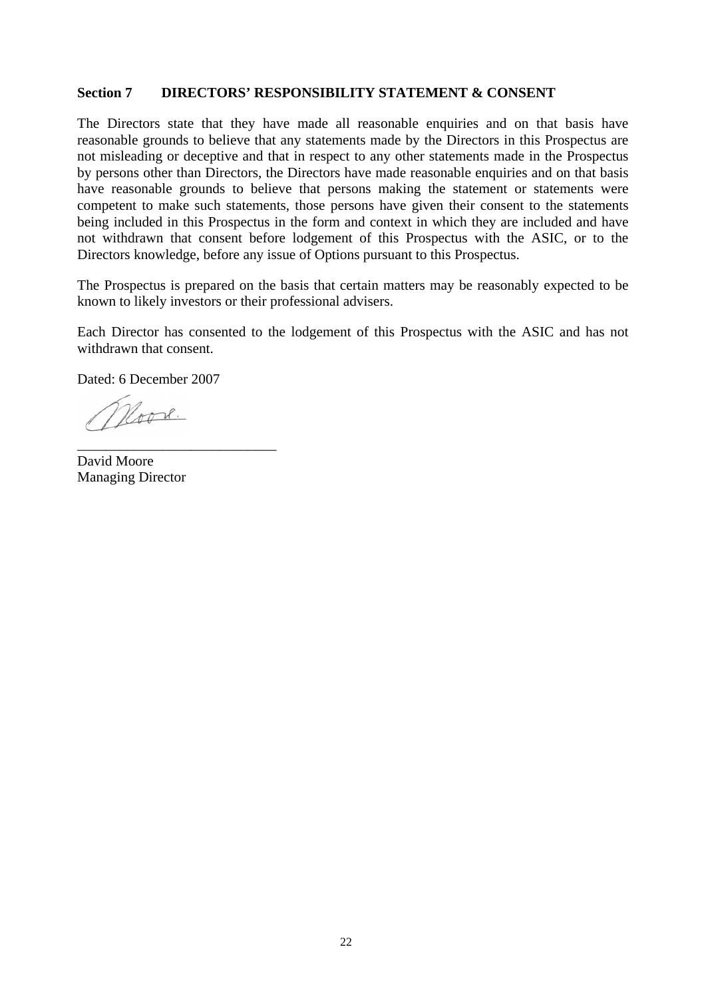#### **Section 7 DIRECTORS' RESPONSIBILITY STATEMENT & CONSENT**

The Directors state that they have made all reasonable enquiries and on that basis have reasonable grounds to believe that any statements made by the Directors in this Prospectus are not misleading or deceptive and that in respect to any other statements made in the Prospectus by persons other than Directors, the Directors have made reasonable enquiries and on that basis have reasonable grounds to believe that persons making the statement or statements were competent to make such statements, those persons have given their consent to the statements being included in this Prospectus in the form and context in which they are included and have not withdrawn that consent before lodgement of this Prospectus with the ASIC, or to the Directors knowledge, before any issue of Options pursuant to this Prospectus.

The Prospectus is prepared on the basis that certain matters may be reasonably expected to be known to likely investors or their professional advisers.

Each Director has consented to the lodgement of this Prospectus with the ASIC and has not withdrawn that consent.

Dated: 6 December 2007

\_\_\_\_\_\_\_\_\_\_\_\_\_\_\_\_\_\_\_\_\_\_\_\_\_\_\_\_

Noove.

David Moore Managing Director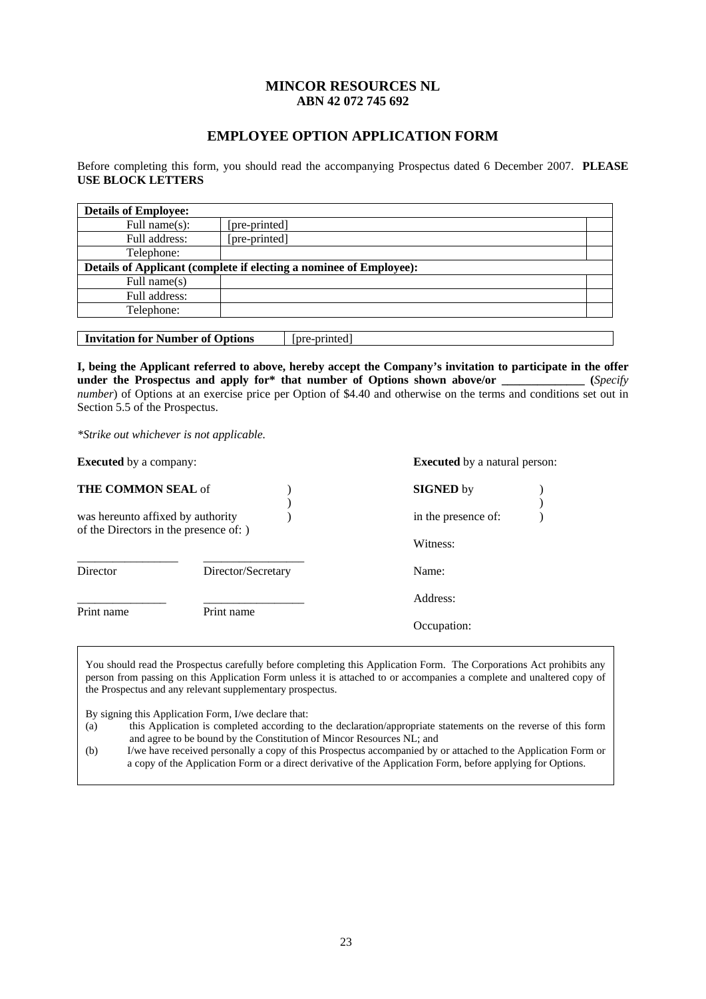#### **MINCOR RESOURCES NL ABN 42 072 745 692**

#### **EMPLOYEE OPTION APPLICATION FORM**

Before completing this form, you should read the accompanying Prospectus dated 6 December 2007. **PLEASE USE BLOCK LETTERS** 

| <b>Details of Employee:</b>                                        |               |  |  |  |
|--------------------------------------------------------------------|---------------|--|--|--|
| Full name $(s)$ :                                                  | [pre-printed] |  |  |  |
| Full address:                                                      | [pre-printed] |  |  |  |
| Telephone:                                                         |               |  |  |  |
| Details of Applicant (complete if electing a nominee of Employee): |               |  |  |  |
| Full name $(s)$                                                    |               |  |  |  |
| Full address:                                                      |               |  |  |  |
| Telephone:                                                         |               |  |  |  |
|                                                                    |               |  |  |  |
| <b>Invitation for Number of Options</b><br>[pre-printed]           |               |  |  |  |

**I, being the Applicant referred to above, hereby accept the Company's invitation to participate in the offer**  under the Prospectus and apply for\* that number of Options shown above/or \_\_\_\_\_\_\_\_\_\_\_\_ (*Specify number*) of Options at an exercise price per Option of \$4.40 and otherwise on the terms and conditions set out in Section 5.5 of the Prospectus.

*\*Strike out whichever is not applicable.* 

**Executed** by a company: **Executed** by a natural person:

| THE COMMON SEAL of                                                          |                    | <b>SIGNED</b> by    |  |
|-----------------------------------------------------------------------------|--------------------|---------------------|--|
| was hereunto affixed by authority<br>of the Directors in the presence of: ) |                    | in the presence of: |  |
|                                                                             |                    | Witness:            |  |
| Director                                                                    | Director/Secretary | Name:               |  |
|                                                                             |                    | Address:            |  |
| Print name                                                                  | Print name         | Occupation:         |  |

You should read the Prospectus carefully before completing this Application Form. The Corporations Act prohibits any person from passing on this Application Form unless it is attached to or accompanies a complete and unaltered copy of the Prospectus and any relevant supplementary prospectus.

By signing this Application Form, I/we declare that:

- (a) this Application is completed according to the declaration/appropriate statements on the reverse of this form and agree to be bound by the Constitution of Mincor Resources NL; and
- (b) I/we have received personally a copy of this Prospectus accompanied by or attached to the Application Form or a copy of the Application Form or a direct derivative of the Application Form, before applying for Options.